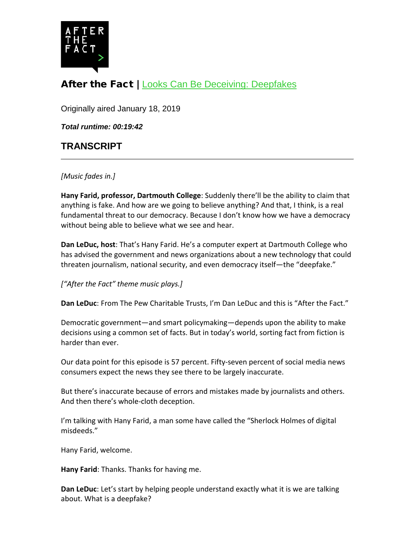

# After the Fact | [Looks Can Be Deceiving: Deepfakes](https://www.pewtrusts.org/en/research-and-analysis/articles/2019/01/18/looks-can-be-deceiving-deepfakes)

Originally aired January 18, 2019

*Total runtime: 00:19:42*

## **TRANSCRIPT**

*[Music fades in.]*

**Hany Farid, professor, Dartmouth College**: Suddenly there'll be the ability to claim that anything is fake. And how are we going to believe anything? And that, I think, is a real fundamental threat to our democracy. Because I don't know how we have a democracy without being able to believe what we see and hear.

**Dan LeDuc, host**: That's Hany Farid. He's a computer expert at Dartmouth College who has advised the government and news organizations about a new technology that could threaten journalism, national security, and even democracy itself—the "deepfake."

*["After the Fact" theme music plays.]*

**Dan LeDuc**: From The Pew Charitable Trusts, I'm Dan LeDuc and this is "After the Fact."

Democratic government—and smart policymaking—depends upon the ability to make decisions using a common set of facts. But in today's world, sorting fact from fiction is harder than ever.

Our data point for this episode is 57 percent. Fifty-seven percent of social media news consumers expect the news they see there to be largely inaccurate.

But there's inaccurate because of errors and mistakes made by journalists and others. And then there's whole-cloth deception.

I'm talking with Hany Farid, a man some have called the "Sherlock Holmes of digital misdeeds."

Hany Farid, welcome.

**Hany Farid**: Thanks. Thanks for having me.

**Dan LeDuc**: Let's start by helping people understand exactly what it is we are talking about. What is a deepfake?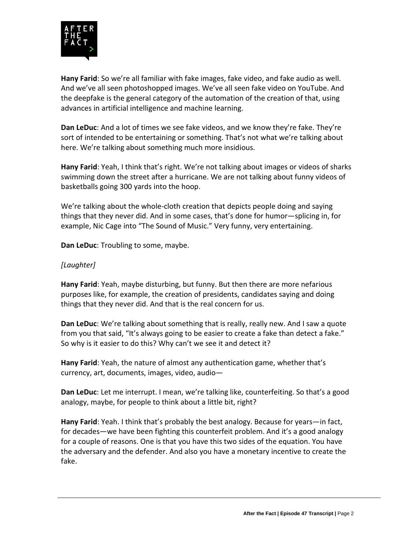

**Hany Farid**: So we're all familiar with fake images, fake video, and fake audio as well. And we've all seen photoshopped images. We've all seen fake video on YouTube. And the deepfake is the general category of the automation of the creation of that, using advances in artificial intelligence and machine learning.

**Dan LeDuc**: And a lot of times we see fake videos, and we know they're fake. They're sort of intended to be entertaining or something. That's not what we're talking about here. We're talking about something much more insidious.

**Hany Farid**: Yeah, I think that's right. We're not talking about images or videos of sharks swimming down the street after a hurricane. We are not talking about funny videos of basketballs going 300 yards into the hoop.

We're talking about the whole-cloth creation that depicts people doing and saying things that they never did. And in some cases, that's done for humor—splicing in, for example, Nic Cage into "The Sound of Music." Very funny, very entertaining.

**Dan LeDuc**: Troubling to some, maybe.

### *[Laughter]*

**Hany Farid**: Yeah, maybe disturbing, but funny. But then there are more nefarious purposes like, for example, the creation of presidents, candidates saying and doing things that they never did. And that is the real concern for us.

**Dan LeDuc**: We're talking about something that is really, really new. And I saw a quote from you that said, "It's always going to be easier to create a fake than detect a fake." So why is it easier to do this? Why can't we see it and detect it?

**Hany Farid**: Yeah, the nature of almost any authentication game, whether that's currency, art, documents, images, video, audio—

**Dan LeDuc**: Let me interrupt. I mean, we're talking like, counterfeiting. So that's a good analogy, maybe, for people to think about a little bit, right?

**Hany Farid**: Yeah. I think that's probably the best analogy. Because for years—in fact, for decades—we have been fighting this counterfeit problem. And it's a good analogy for a couple of reasons. One is that you have this two sides of the equation. You have the adversary and the defender. And also you have a monetary incentive to create the fake.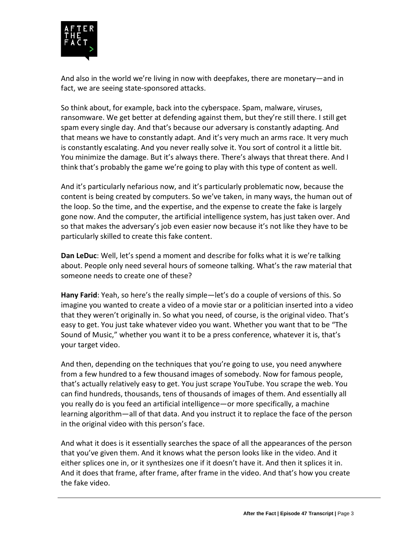

And also in the world we're living in now with deepfakes, there are monetary—and in fact, we are seeing state-sponsored attacks.

So think about, for example, back into the cyberspace. Spam, malware, viruses, ransomware. We get better at defending against them, but they're still there. I still get spam every single day. And that's because our adversary is constantly adapting. And that means we have to constantly adapt. And it's very much an arms race. It very much is constantly escalating. And you never really solve it. You sort of control it a little bit. You minimize the damage. But it's always there. There's always that threat there. And I think that's probably the game we're going to play with this type of content as well.

And it's particularly nefarious now, and it's particularly problematic now, because the content is being created by computers. So we've taken, in many ways, the human out of the loop. So the time, and the expertise, and the expense to create the fake is largely gone now. And the computer, the artificial intelligence system, has just taken over. And so that makes the adversary's job even easier now because it's not like they have to be particularly skilled to create this fake content.

**Dan LeDuc**: Well, let's spend a moment and describe for folks what it is we're talking about. People only need several hours of someone talking. What's the raw material that someone needs to create one of these?

**Hany Farid**: Yeah, so here's the really simple—let's do a couple of versions of this. So imagine you wanted to create a video of a movie star or a politician inserted into a video that they weren't originally in. So what you need, of course, is the original video. That's easy to get. You just take whatever video you want. Whether you want that to be "The Sound of Music," whether you want it to be a press conference, whatever it is, that's your target video.

And then, depending on the techniques that you're going to use, you need anywhere from a few hundred to a few thousand images of somebody. Now for famous people, that's actually relatively easy to get. You just scrape YouTube. You scrape the web. You can find hundreds, thousands, tens of thousands of images of them. And essentially all you really do is you feed an artificial intelligence—or more specifically, a machine learning algorithm—all of that data. And you instruct it to replace the face of the person in the original video with this person's face.

And what it does is it essentially searches the space of all the appearances of the person that you've given them. And it knows what the person looks like in the video. And it either splices one in, or it synthesizes one if it doesn't have it. And then it splices it in. And it does that frame, after frame, after frame in the video. And that's how you create the fake video.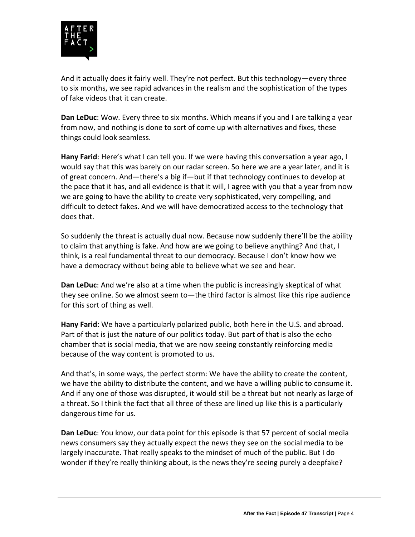

And it actually does it fairly well. They're not perfect. But this technology—every three to six months, we see rapid advances in the realism and the sophistication of the types of fake videos that it can create.

**Dan LeDuc**: Wow. Every three to six months. Which means if you and I are talking a year from now, and nothing is done to sort of come up with alternatives and fixes, these things could look seamless.

**Hany Farid**: Here's what I can tell you. If we were having this conversation a year ago, I would say that this was barely on our radar screen. So here we are a year later, and it is of great concern. And—there's a big if—but if that technology continues to develop at the pace that it has, and all evidence is that it will, I agree with you that a year from now we are going to have the ability to create very sophisticated, very compelling, and difficult to detect fakes. And we will have democratized access to the technology that does that.

So suddenly the threat is actually dual now. Because now suddenly there'll be the ability to claim that anything is fake. And how are we going to believe anything? And that, I think, is a real fundamental threat to our democracy. Because I don't know how we have a democracy without being able to believe what we see and hear.

**Dan LeDuc**: And we're also at a time when the public is increasingly skeptical of what they see online. So we almost seem to—the third factor is almost like this ripe audience for this sort of thing as well.

**Hany Farid**: We have a particularly polarized public, both here in the U.S. and abroad. Part of that is just the nature of our politics today. But part of that is also the echo chamber that is social media, that we are now seeing constantly reinforcing media because of the way content is promoted to us.

And that's, in some ways, the perfect storm: We have the ability to create the content, we have the ability to distribute the content, and we have a willing public to consume it. And if any one of those was disrupted, it would still be a threat but not nearly as large of a threat. So I think the fact that all three of these are lined up like this is a particularly dangerous time for us.

**Dan LeDuc**: You know, our data point for this episode is that 57 percent of social media news consumers say they actually expect the news they see on the social media to be largely inaccurate. That really speaks to the mindset of much of the public. But I do wonder if they're really thinking about, is the news they're seeing purely a deepfake?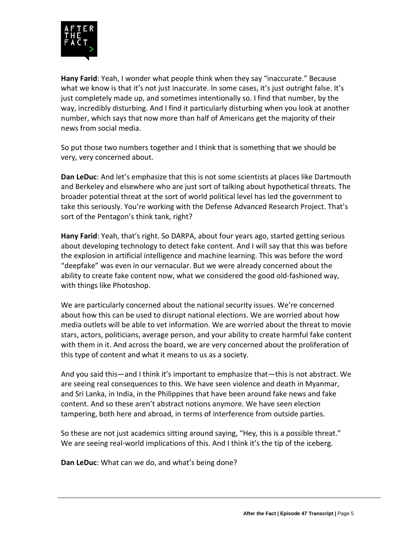

**Hany Farid**: Yeah, I wonder what people think when they say "inaccurate." Because what we know is that it's not just inaccurate. In some cases, it's just outright false. It's just completely made up, and sometimes intentionally so. I find that number, by the way, incredibly disturbing. And I find it particularly disturbing when you look at another number, which says that now more than half of Americans get the majority of their news from social media.

So put those two numbers together and I think that is something that we should be very, very concerned about.

**Dan LeDuc**: And let's emphasize that this is not some scientists at places like Dartmouth and Berkeley and elsewhere who are just sort of talking about hypothetical threats. The broader potential threat at the sort of world political level has led the government to take this seriously. You're working with the Defense Advanced Research Project. That's sort of the Pentagon's think tank, right?

**Hany Farid**: Yeah, that's right. So DARPA, about four years ago, started getting serious about developing technology to detect fake content. And I will say that this was before the explosion in artificial intelligence and machine learning. This was before the word "deepfake" was even in our vernacular. But we were already concerned about the ability to create fake content now, what we considered the good old-fashioned way, with things like Photoshop.

We are particularly concerned about the national security issues. We're concerned about how this can be used to disrupt national elections. We are worried about how media outlets will be able to vet information. We are worried about the threat to movie stars, actors, politicians, average person, and your ability to create harmful fake content with them in it. And across the board, we are very concerned about the proliferation of this type of content and what it means to us as a society.

And you said this—and I think it's important to emphasize that—this is not abstract. We are seeing real consequences to this. We have seen violence and death in Myanmar, and Sri Lanka, in India, in the Philippines that have been around fake news and fake content. And so these aren't abstract notions anymore. We have seen election tampering, both here and abroad, in terms of interference from outside parties.

So these are not just academics sitting around saying, "Hey, this is a possible threat." We are seeing real-world implications of this. And I think it's the tip of the iceberg.

**Dan LeDuc**: What can we do, and what's being done?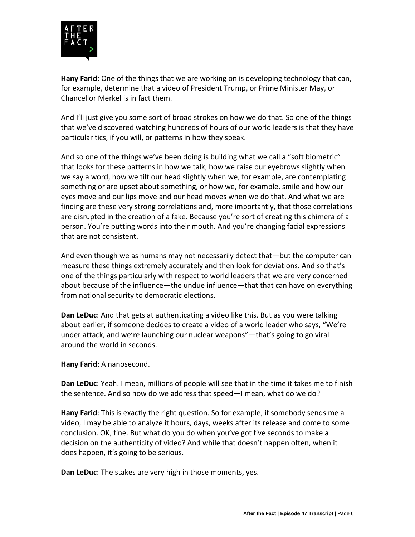

**Hany Farid**: One of the things that we are working on is developing technology that can, for example, determine that a video of President Trump, or Prime Minister May, or Chancellor Merkel is in fact them.

And I'll just give you some sort of broad strokes on how we do that. So one of the things that we've discovered watching hundreds of hours of our world leaders is that they have particular tics, if you will, or patterns in how they speak.

And so one of the things we've been doing is building what we call a "soft biometric" that looks for these patterns in how we talk, how we raise our eyebrows slightly when we say a word, how we tilt our head slightly when we, for example, are contemplating something or are upset about something, or how we, for example, smile and how our eyes move and our lips move and our head moves when we do that. And what we are finding are these very strong correlations and, more importantly, that those correlations are disrupted in the creation of a fake. Because you're sort of creating this chimera of a person. You're putting words into their mouth. And you're changing facial expressions that are not consistent.

And even though we as humans may not necessarily detect that—but the computer can measure these things extremely accurately and then look for deviations. And so that's one of the things particularly with respect to world leaders that we are very concerned about because of the influence—the undue influence—that that can have on everything from national security to democratic elections.

**Dan LeDuc**: And that gets at authenticating a video like this. But as you were talking about earlier, if someone decides to create a video of a world leader who says, "We're under attack, and we're launching our nuclear weapons"—that's going to go viral around the world in seconds.

**Hany Farid**: A nanosecond.

**Dan LeDuc**: Yeah. I mean, millions of people will see that in the time it takes me to finish the sentence. And so how do we address that speed—I mean, what do we do?

**Hany Farid**: This is exactly the right question. So for example, if somebody sends me a video, I may be able to analyze it hours, days, weeks after its release and come to some conclusion. OK, fine. But what do you do when you've got five seconds to make a decision on the authenticity of video? And while that doesn't happen often, when it does happen, it's going to be serious.

**Dan LeDuc**: The stakes are very high in those moments, yes.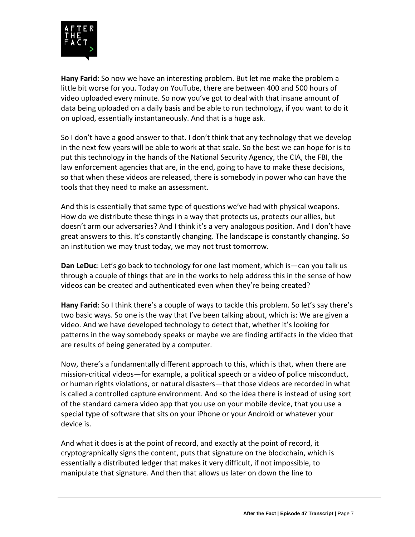

**Hany Farid**: So now we have an interesting problem. But let me make the problem a little bit worse for you. Today on YouTube, there are between 400 and 500 hours of video uploaded every minute. So now you've got to deal with that insane amount of data being uploaded on a daily basis and be able to run technology, if you want to do it on upload, essentially instantaneously. And that is a huge ask.

So I don't have a good answer to that. I don't think that any technology that we develop in the next few years will be able to work at that scale. So the best we can hope for is to put this technology in the hands of the National Security Agency, the CIA, the FBI, the law enforcement agencies that are, in the end, going to have to make these decisions, so that when these videos are released, there is somebody in power who can have the tools that they need to make an assessment.

And this is essentially that same type of questions we've had with physical weapons. How do we distribute these things in a way that protects us, protects our allies, but doesn't arm our adversaries? And I think it's a very analogous position. And I don't have great answers to this. It's constantly changing. The landscape is constantly changing. So an institution we may trust today, we may not trust tomorrow.

**Dan LeDuc**: Let's go back to technology for one last moment, which is—can you talk us through a couple of things that are in the works to help address this in the sense of how videos can be created and authenticated even when they're being created?

**Hany Farid**: So I think there's a couple of ways to tackle this problem. So let's say there's two basic ways. So one is the way that I've been talking about, which is: We are given a video. And we have developed technology to detect that, whether it's looking for patterns in the way somebody speaks or maybe we are finding artifacts in the video that are results of being generated by a computer.

Now, there's a fundamentally different approach to this, which is that, when there are mission-critical videos—for example, a political speech or a video of police misconduct, or human rights violations, or natural disasters—that those videos are recorded in what is called a controlled capture environment. And so the idea there is instead of using sort of the standard camera video app that you use on your mobile device, that you use a special type of software that sits on your iPhone or your Android or whatever your device is.

And what it does is at the point of record, and exactly at the point of record, it cryptographically signs the content, puts that signature on the blockchain, which is essentially a distributed ledger that makes it very difficult, if not impossible, to manipulate that signature. And then that allows us later on down the line to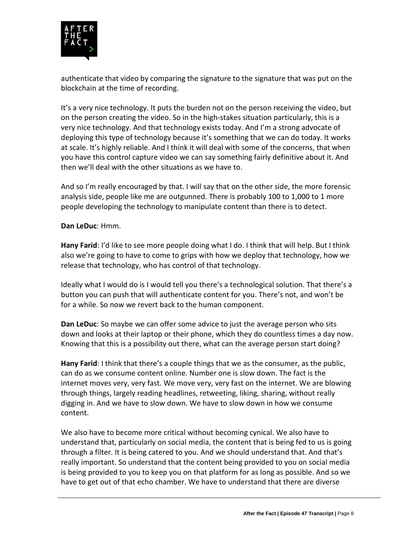

authenticate that video by comparing the signature to the signature that was put on the blockchain at the time of recording.

It's a very nice technology. It puts the burden not on the person receiving the video, but on the person creating the video. So in the high-stakes situation particularly, this is a very nice technology. And that technology exists today. And I'm a strong advocate of deploying this type of technology because it's something that we can do today. It works at scale. It's highly reliable. And I think it will deal with some of the concerns, that when you have this control capture video we can say something fairly definitive about it. And then we'll deal with the other situations as we have to.

And so I'm really encouraged by that. I will say that on the other side, the more forensic analysis side, people like me are outgunned. There is probably 100 to 1,000 to 1 more people developing the technology to manipulate content than there is to detect.

#### **Dan LeDuc**: Hmm.

**Hany Farid**: I'd like to see more people doing what I do. I think that will help. But I think also we're going to have to come to grips with how we deploy that technology, how we release that technology, who has control of that technology.

Ideally what I would do is I would tell you there's a technological solution. That there's a button you can push that will authenticate content for you. There's not, and won't be for a while. So now we revert back to the human component.

**Dan LeDuc**: So maybe we can offer some advice to just the average person who sits down and looks at their laptop or their phone, which they do countless times a day now. Knowing that this is a possibility out there, what can the average person start doing?

**Hany Farid**: I think that there's a couple things that we as the consumer, as the public, can do as we consume content online. Number one is slow down. The fact is the internet moves very, very fast. We move very, very fast on the internet. We are blowing through things, largely reading headlines, retweeting, liking, sharing, without really digging in. And we have to slow down. We have to slow down in how we consume content.

We also have to become more critical without becoming cynical. We also have to understand that, particularly on social media, the content that is being fed to us is going through a filter. It is being catered to you. And we should understand that. And that's really important. So understand that the content being provided to you on social media is being provided to you to keep you on that platform for as long as possible. And so we have to get out of that echo chamber. We have to understand that there are diverse